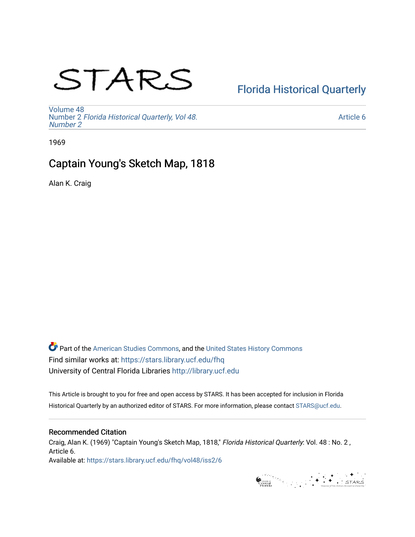# STARS

# [Florida Historical Quarterly](https://stars.library.ucf.edu/fhq)

[Volume 48](https://stars.library.ucf.edu/fhq/vol48) Number 2 [Florida Historical Quarterly, Vol 48.](https://stars.library.ucf.edu/fhq/vol48/iss2) [Number 2](https://stars.library.ucf.edu/fhq/vol48/iss2)

[Article 6](https://stars.library.ucf.edu/fhq/vol48/iss2/6) 

1969

## Captain Young's Sketch Map, 1818

Alan K. Craig

**C** Part of the [American Studies Commons](http://network.bepress.com/hgg/discipline/439?utm_source=stars.library.ucf.edu%2Ffhq%2Fvol48%2Fiss2%2F6&utm_medium=PDF&utm_campaign=PDFCoverPages), and the United States History Commons Find similar works at: <https://stars.library.ucf.edu/fhq> University of Central Florida Libraries [http://library.ucf.edu](http://library.ucf.edu/) 

This Article is brought to you for free and open access by STARS. It has been accepted for inclusion in Florida Historical Quarterly by an authorized editor of STARS. For more information, please contact [STARS@ucf.edu.](mailto:STARS@ucf.edu)

## Recommended Citation

Craig, Alan K. (1969) "Captain Young's Sketch Map, 1818," Florida Historical Quarterly: Vol. 48 : No. 2 , Article 6. Available at: [https://stars.library.ucf.edu/fhq/vol48/iss2/6](https://stars.library.ucf.edu/fhq/vol48/iss2/6?utm_source=stars.library.ucf.edu%2Ffhq%2Fvol48%2Fiss2%2F6&utm_medium=PDF&utm_campaign=PDFCoverPages) 

 $\begin{picture}(150,10) \put(0,0){\line(1,0){100}} \put(15,0){\line(1,0){100}} \put(15,0){\line(1,0){100}} \put(15,0){\line(1,0){100}} \put(15,0){\line(1,0){100}} \put(15,0){\line(1,0){100}} \put(15,0){\line(1,0){100}} \put(15,0){\line(1,0){100}} \put(15,0){\line(1,0){100}} \put(15,0){\line(1,0){100}} \put(15,0){\line(1,0){100}}$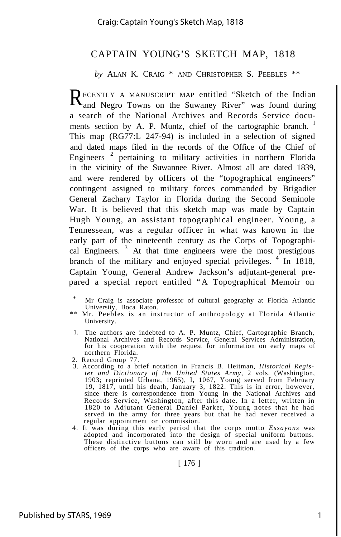### CAPTAIN YOUNG'S SKETCH MAP, 1818

*by* ALAN K. CRAIG \* AND CHRISTOPHER S. PEEBLES \*\*

RECENTLY A MANUSCRIPT MAP entitled "Sketch of the Indian<br>and Negro Towns on the Suwaney River" was found during and Negro Towns on the Suwaney River" was found during a search of the National Archives and Records Service documents section by A. P. Muntz, chief of the cartographic branch. <sup>1</sup> This map (RG77:L 247-94) is included in a selection of signed and dated maps filed in the records of the Office of the Chief of Engineers<sup>2</sup> pertaining to military activities in northern Florida in the vicinity of the Suwannee River. Almost all are dated 1839, and were rendered by officers of the "topographical engineers" contingent assigned to military forces commanded by Brigadier General Zachary Taylor in Florida during the Second Seminole War. It is believed that this sketch map was made by Captain Hugh Young, an assistant topographical engineer. Young, a Tennessean, was a regular officer in what was known in the early part of the nineteenth century as the Corps of Topographical Engineers.<sup>3</sup> At that time engineers were the most prestigious branch of the military and enjoyed special privileges.  $\frac{4}{1}$  In 1818, Captain Young, General Andrew Jackson's adjutant-general prepared a special report entitled "A Topographical Memoir on

[ 176 ]

Mr Craig is associate professor of cultural geography at Florida Atlantic University, Boca Raton.

<sup>\*\*</sup> Mr. Peebles is an instructor of anthropology at Florida Atlantic University.

<sup>1.</sup> The authors are indebted to A. P. Muntz, Chief, Cartographic Branch, National Archives and Records Service, General Services Administration, for his cooperation with the request for information on early maps of northern Florida.

<sup>2.</sup> Record Group 77.

<sup>3.</sup> According to a brief notation in Francis B. Heitman, *Historical Register and Dictionary of the United States Army,* 2 vols. (Washington, 1903; reprinted Urbana, 1965), I, 1067, Young served from February 19, 1817, until his death, January 3, 1822. This is in error, however, since there is correspondence from Young in the National Archives and Records Service, Washington, after this date. In a letter, written in 1820 to Adjutant General Daniel Parker, Young notes that he had served in the army for three years but that he had never received a regular appointment or commission.

<sup>4.</sup> It was during this early period that the corps motto *Essayons* was adopted and incorporated into the design of special uniform buttons. These distinctive buttons can still be worn and are used by a few officers of the corps who are aware of this tradition.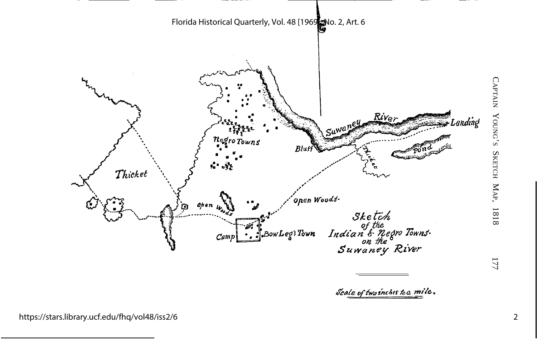

https://stars.library.ucf.edu/fhq/vol48/iss2/6

2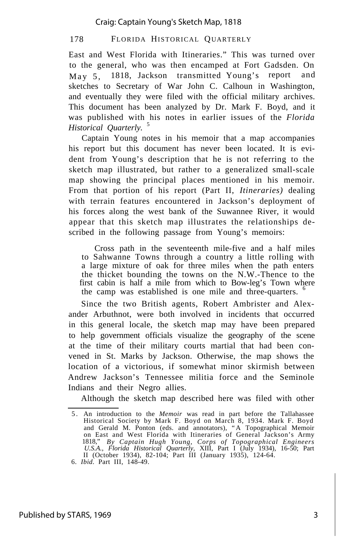#### 178 FLORIDA HISTORICAL QUARTERLY

East and West Florida with Itineraries." This was turned over to the general, who was then encamped at Fort Gadsden. On May 5, 1818, Jackson transmitted Young's report and sketches to Secretary of War John C. Calhoun in Washington, and eventually they were filed with the official military archives. This document has been analyzed by Dr. Mark F. Boyd, and it was published with his notes in earlier issues of the *Florida Historical Quarterly.* <sup>5</sup>

Captain Young notes in his memoir that a map accompanies his report but this document has never been located. It is evident from Young's description that he is not referring to the sketch map illustrated, but rather to a generalized small-scale map showing the principal places mentioned in his memoir. From that portion of his report (Part II, *Itineraries)* dealing with terrain features encountered in Jackson's deployment of his forces along the west bank of the Suwannee River, it would appear that this sketch map illustrates the relationships described in the following passage from Young's memoirs:

Cross path in the seventeenth mile-five and a half miles to Sahwanne Towns through a country a little rolling with a large mixture of oak for three miles when the path enters the thicket bounding the towns on the N.W.-Thence to the first cabin is half a mile from which to Bow-leg's Town where the camp was established is one mile and three-quarters. <sup>6</sup>

Since the two British agents, Robert Ambrister and Alexander Arbuthnot, were both involved in incidents that occurred in this general locale, the sketch map may have been prepared to help government officials visualize the geography of the scene at the time of their military courts martial that had been convened in St. Marks by Jackson. Otherwise, the map shows the location of a victorious, if somewhat minor skirmish between Andrew Jackson's Tennessee militia force and the Seminole Indians and their Negro allies.

Although the sketch map described here was filed with other

<sup>5</sup> . An introduction to the *Memoir* was read in part before the Tallahassee Historical Society by Mark F. Boyd on March 8, 1934. Mark F. Boyd and Gerald M. Ponton (eds. and annotators), "A Topographical Memoir<br>on East and West Florida with Itineraries of General Jackson's Army<br>1818," By Captain Hugh Young, Corps of Topographical Engineers<br>U.S.A., Florida Histori II (October 1934), 82-104; Part III (January 1935), 124-64.

<sup>6.</sup> *Ibid.* Part III, 148-49.